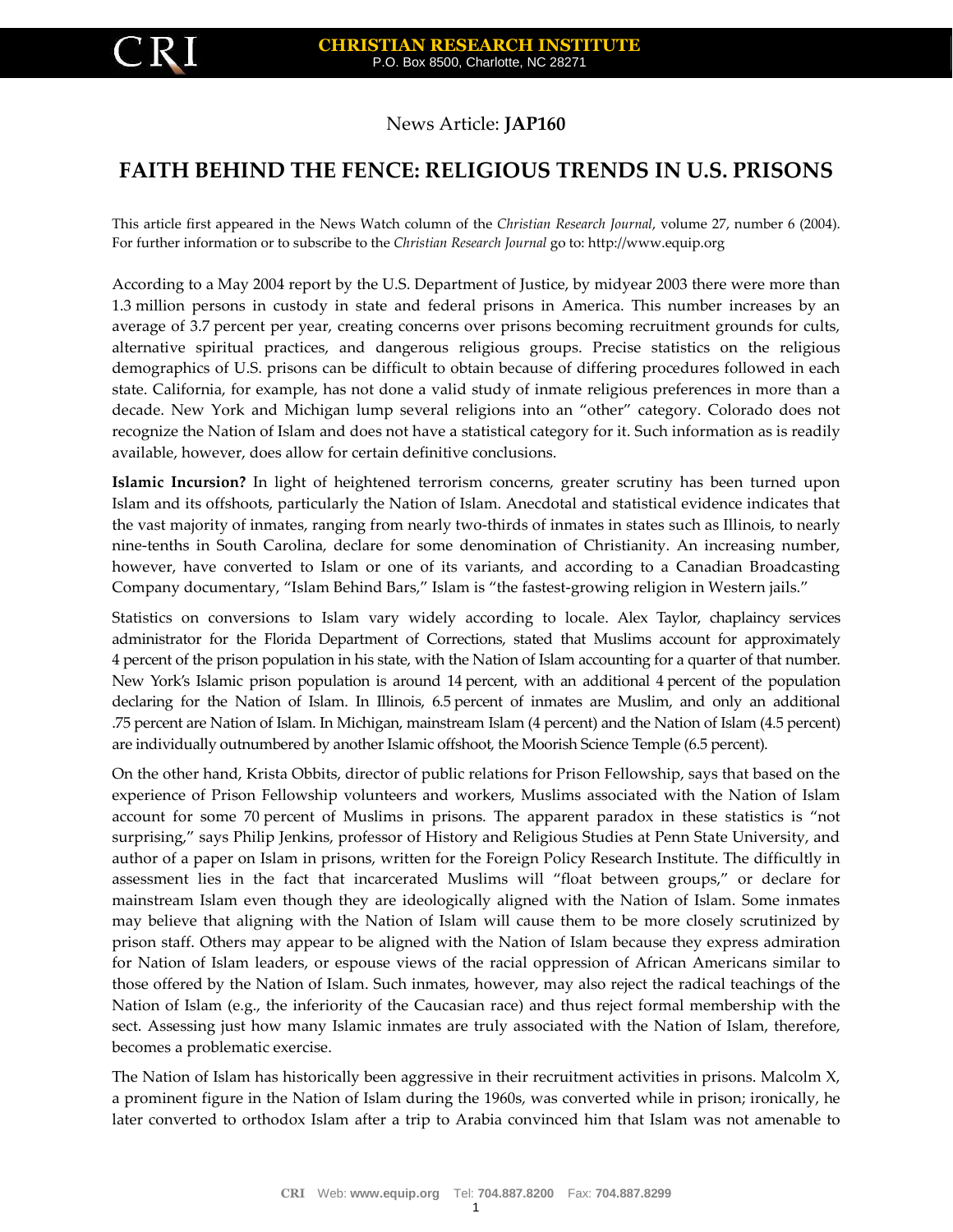## News Article: **JAP160**

## **FAITH BEHIND THE FENCE: RELIGIOUS TRENDS IN U.S. PRISONS**

This article first appeared in the News Watch column of the *Christian Research Journal*, volume 27, number 6 (2004). For further information or to subscribe to the *Christian Research Journal* go to: http://www.equip.org

According to a May 2004 report by the U.S. Department of Justice, by midyear 2003 there were more than 1.3 million persons in custody in state and federal prisons in America. This number increases by an average of 3.7 percent per year, creating concerns over prisons becoming recruitment grounds for cults, alternative spiritual practices, and dangerous religious groups. Precise statistics on the religious demographics of U.S. prisons can be difficult to obtain because of differing procedures followed in each state. California, for example, has not done a valid study of inmate religious preferences in more than a decade. New York and Michigan lump several religions into an "other" category. Colorado does not recognize the Nation of Islam and does not have a statistical category for it. Such information as is readily available, however, does allow for certain definitive conclusions.

**Islamic Incursion?** In light of heightened terrorism concerns, greater scrutiny has been turned upon Islam and its offshoots, particularly the Nation of Islam. Anecdotal and statistical evidence indicates that the vast majority of inmates, ranging from nearly two-thirds of inmates in states such as Illinois, to nearly nine-tenths in South Carolina, declare for some denomination of Christianity. An increasing number, however, have converted to Islam or one of its variants, and according to a Canadian Broadcasting Company documentary, "Islam Behind Bars," Islam is "the fastest-growing religion in Western jails."

Statistics on conversions to Islam vary widely according to locale. Alex Taylor, chaplaincy services administrator for the Florida Department of Corrections, stated that Muslims account for approximately 4 percent of the prison population in his state, with the Nation of Islam accounting for a quarter of that number. New York's Islamic prison population is around 14 percent, with an additional 4 percent of the population declaring for the Nation of Islam. In Illinois, 6.5 percent of inmates are Muslim, and only an additional .75 percent are Nation of Islam. In Michigan, mainstream Islam (4 percent) and the Nation of Islam (4.5 percent) are individually outnumbered by another Islamic offshoot, the Moorish Science Temple (6.5 percent).

On the other hand, Krista Obbits, director of public relations for Prison Fellowship, says that based on the experience of Prison Fellowship volunteers and workers, Muslims associated with the Nation of Islam account for some 70 percent of Muslims in prisons. The apparent paradox in these statistics is "not surprising," says Philip Jenkins, professor of History and Religious Studies at Penn State University, and author of a paper on Islam in prisons, written for the Foreign Policy Research Institute. The difficultly in assessment lies in the fact that incarcerated Muslims will "float between groups," or declare for mainstream Islam even though they are ideologically aligned with the Nation of Islam. Some inmates may believe that aligning with the Nation of Islam will cause them to be more closely scrutinized by prison staff. Others may appear to be aligned with the Nation of Islam because they express admiration for Nation of Islam leaders, or espouse views of the racial oppression of African Americans similar to those offered by the Nation of Islam. Such inmates, however, may also reject the radical teachings of the Nation of Islam (e.g., the inferiority of the Caucasian race) and thus reject formal membership with the sect. Assessing just how many Islamic inmates are truly associated with the Nation of Islam, therefore, becomes a problematic exercise.

The Nation of Islam has historically been aggressive in their recruitment activities in prisons. Malcolm X, a prominent figure in the Nation of Islam during the 1960s, was converted while in prison; ironically, he later converted to orthodox Islam after a trip to Arabia convinced him that Islam was not amenable to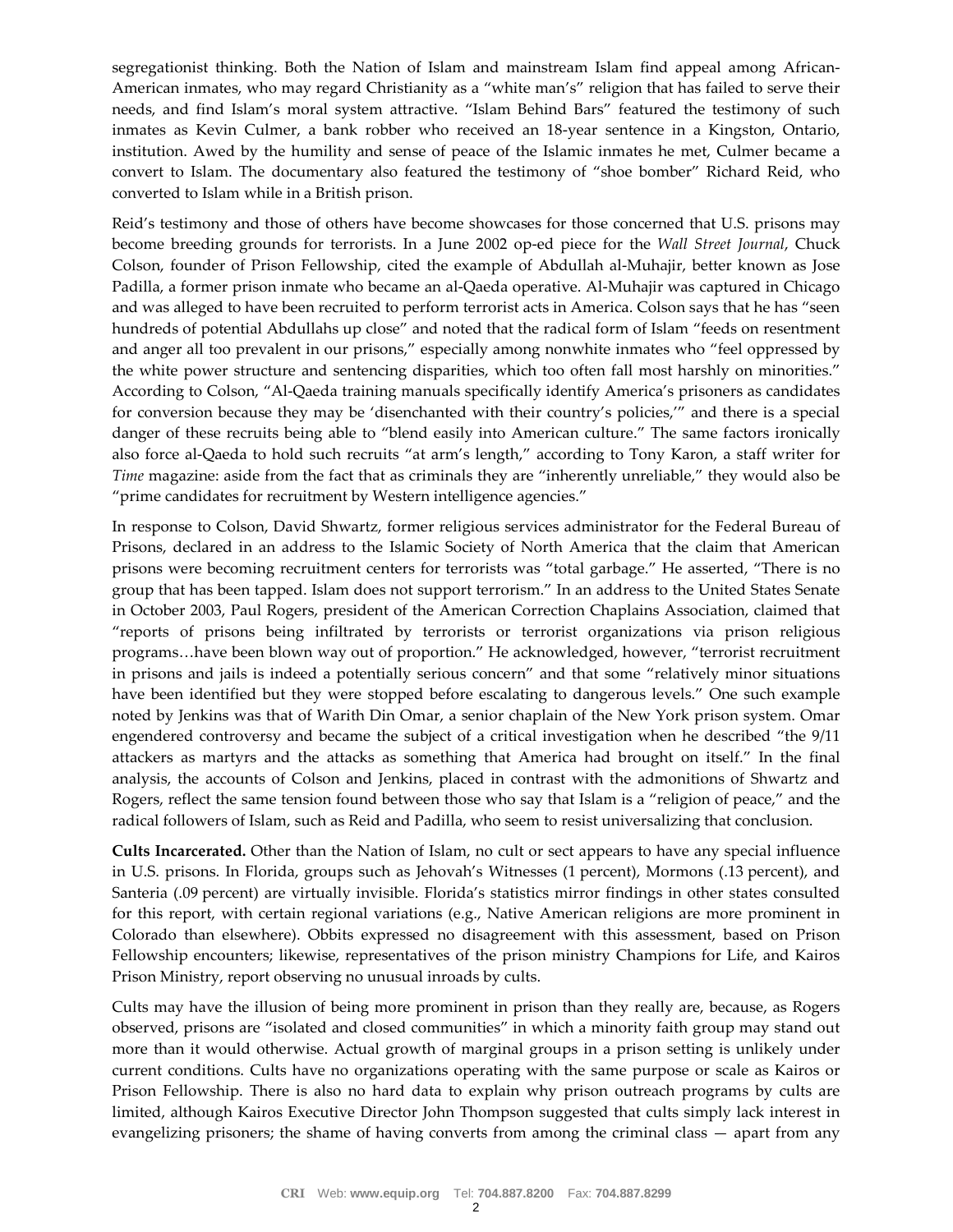segregationist thinking. Both the Nation of Islam and mainstream Islam find appeal among African-American inmates, who may regard Christianity as a "white man's" religion that has failed to serve their needs, and find Islam's moral system attractive. "Islam Behind Bars" featured the testimony of such inmates as Kevin Culmer, a bank robber who received an 18-year sentence in a Kingston, Ontario, institution. Awed by the humility and sense of peace of the Islamic inmates he met, Culmer became a convert to Islam. The documentary also featured the testimony of "shoe bomber" Richard Reid, who converted to Islam while in a British prison.

Reid's testimony and those of others have become showcases for those concerned that U.S. prisons may become breeding grounds for terrorists. In a June 2002 op-ed piece for the *Wall Street Journal*, Chuck Colson, founder of Prison Fellowship, cited the example of Abdullah al-Muhajir, better known as Jose Padilla, a former prison inmate who became an al-Qaeda operative. Al-Muhajir was captured in Chicago and was alleged to have been recruited to perform terrorist acts in America. Colson says that he has "seen hundreds of potential Abdullahs up close" and noted that the radical form of Islam "feeds on resentment and anger all too prevalent in our prisons," especially among nonwhite inmates who "feel oppressed by the white power structure and sentencing disparities, which too often fall most harshly on minorities." According to Colson, "Al-Qaeda training manuals specifically identify America's prisoners as candidates for conversion because they may be 'disenchanted with their country's policies,'" and there is a special danger of these recruits being able to "blend easily into American culture." The same factors ironically also force al-Qaeda to hold such recruits "at arm's length," according to Tony Karon, a staff writer for *Time* magazine: aside from the fact that as criminals they are "inherently unreliable," they would also be "prime candidates for recruitment by Western intelligence agencies."

In response to Colson, David Shwartz, former religious services administrator for the Federal Bureau of Prisons, declared in an address to the Islamic Society of North America that the claim that American prisons were becoming recruitment centers for terrorists was "total garbage." He asserted, "There is no group that has been tapped. Islam does not support terrorism." In an address to the United States Senate in October 2003, Paul Rogers, president of the American Correction Chaplains Association, claimed that "reports of prisons being infiltrated by terrorists or terrorist organizations via prison religious programs…have been blown way out of proportion." He acknowledged, however, "terrorist recruitment in prisons and jails is indeed a potentially serious concern" and that some "relatively minor situations have been identified but they were stopped before escalating to dangerous levels." One such example noted by Jenkins was that of Warith Din Omar, a senior chaplain of the New York prison system. Omar engendered controversy and became the subject of a critical investigation when he described "the 9/11 attackers as martyrs and the attacks as something that America had brought on itself." In the final analysis, the accounts of Colson and Jenkins, placed in contrast with the admonitions of Shwartz and Rogers, reflect the same tension found between those who say that Islam is a "religion of peace," and the radical followers of Islam, such as Reid and Padilla, who seem to resist universalizing that conclusion.

**Cults Incarcerated.** Other than the Nation of Islam, no cult or sect appears to have any special influence in U.S. prisons. In Florida, groups such as Jehovah's Witnesses (1 percent), Mormons (.13 percent), and Santeria (.09 percent) are virtually invisible. Florida's statistics mirror findings in other states consulted for this report, with certain regional variations (e.g., Native American religions are more prominent in Colorado than elsewhere). Obbits expressed no disagreement with this assessment, based on Prison Fellowship encounters; likewise, representatives of the prison ministry Champions for Life, and Kairos Prison Ministry, report observing no unusual inroads by cults.

Cults may have the illusion of being more prominent in prison than they really are, because, as Rogers observed, prisons are "isolated and closed communities" in which a minority faith group may stand out more than it would otherwise. Actual growth of marginal groups in a prison setting is unlikely under current conditions. Cults have no organizations operating with the same purpose or scale as Kairos or Prison Fellowship. There is also no hard data to explain why prison outreach programs by cults are limited, although Kairos Executive Director John Thompson suggested that cults simply lack interest in evangelizing prisoners; the shame of having converts from among the criminal class — apart from any